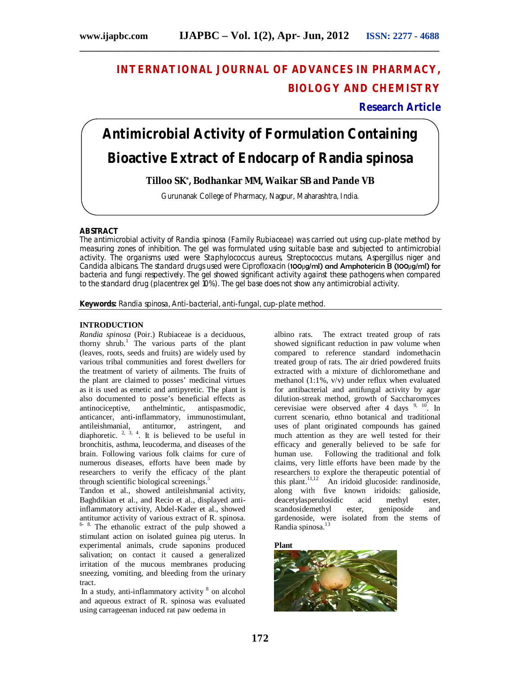# **INTERNATIONAL JOURNAL OF ADVANCES IN PHARMACY, BIOLOGY AND CHEMISTRY**

**Research Article**

# **Antimicrobial Activity of Formulation Containing Bioactive Extract of Endocarp** *of Randia spinosa*

**\_\_\_\_\_\_\_\_\_\_\_\_\_\_\_\_\_\_\_\_\_\_\_\_\_\_\_\_\_\_\_\_\_\_\_\_\_\_\_\_\_\_\_\_\_\_\_\_\_\_\_\_\_\_\_\_\_\_\_\_\_\_\_\_\_\_\_\_\_\_\_\_\_\_\_**

**Tilloo SK\* , Bodhankar MM, Waikar SB and Pande VB**

Gurunanak College of Pharmacy, Nagpur, Maharashtra, India.

#### **ABSTRACT**

The antimicrobial activity of Randia *spinosa (Family* Rubiaceae) *was* carried out using cup-plate method by measuring zones of inhibition. The gel was formulated using suitable base and subjected to antimicrobial activity. The organisms used were *Staphylococcus aureus, Streptococcus mutans, Aspergillus niger and Candida albicans.* The standard drugs used were Ciprofloxacin (100μg/ml) and Amphotericin B (100μg/ml) for bacteria and fungi respectively. The gel showed significant activity against these pathogens when compared to the standard drug (placentrex gel 10%). The gel base does not show any antimicrobial activity.

**Keywords***: Randia spinosa,* Anti-bacterial, anti-fungal, cup-plate method.

#### **INTRODUCTION**

*Randia spinosa* (Poir.) Rubiaceae is a deciduous, thorny shrub.<sup>1</sup> The various parts of the plant (leaves, roots, seeds and fruits) are widely used by various tribal communities and forest dwellers for the treatment of variety of ailments. The fruits of the plant are claimed to posses' medicinal virtues as it is used as emetic and antipyretic. The plant is also documented to posse's beneficial effects as antinociceptive, anthelmintic, antispasmodic, anticancer, anti-inflammatory, immunostimulant, antileishmanial, antitumor, astringent, and diaphoretic.  $2, 3, 4$ . It is believed to be useful in bronchitis, asthma, leucoderma, and diseases of the brain. Following various folk claims for cure of numerous diseases, efforts have been made by researchers to verify the efficacy of the plant through scientific biological screenings.<sup>5</sup>

Tandon et al., showed antileishmanial activity, Baghdikian et al., and Recio et al., displayed antiinflammatory activity, Abdel-Kader et al., showed antitumor activity of various extract of R. spinosa. 6- 8. The ethanolic extract of the pulp showed a stimulant action on isolated guinea pig uterus. In experimental animals, crude saponins produced salivation; on contact it caused a generalized irritation of the mucous membranes producing sneezing, vomiting, and bleeding from the urinary tract.

In a study, anti-inflammatory activity <sup>8</sup> on alcohol and aqueous extract of R. spinosa was evaluated using carrageenan induced rat paw oedema in

albino rats. The extract treated group of rats showed significant reduction in paw volume when compared to reference standard indomethacin treated group of rats. The air dried powdered fruits extracted with a mixture of dichloromethane and methanol (1:1%, v/v) under reflux when evaluated for antibacterial and antifungal activity by agar dilution-streak method, growth of Saccharomyces cerevisiae were observed after 4 days  $9, 10$ . In current scenario, ethno botanical and traditional uses of plant originated compounds has gained much attention as they are well tested for their efficacy and generally believed to be safe for human use. Following the traditional and folk claims, very little efforts have been made by the researchers to explore the therapeutic potential of this plant.<sup>11,12</sup> An iridoid glucoside: randinoside, along with five known iridoids: galioside,<br>deacetylasperulosidic acid methyl ester, deacetylasperulosidic scandosidemethyl ester, geniposide and gardenoside, were isolated from the stems of Randia spinosa.<sup>13</sup>

**Plant**

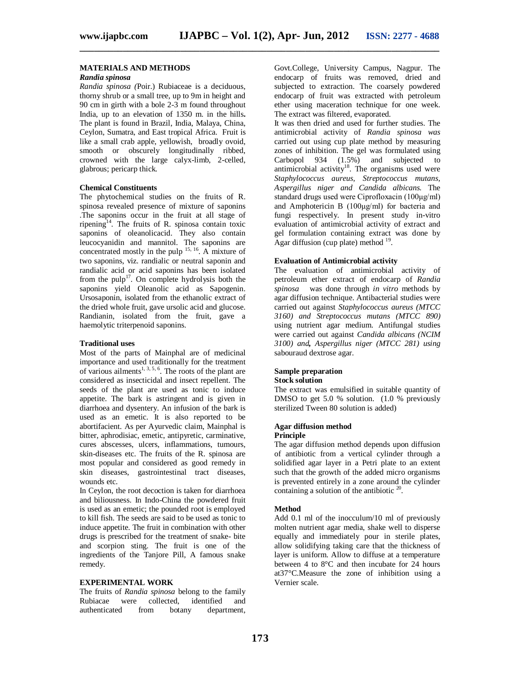**\_\_\_\_\_\_\_\_\_\_\_\_\_\_\_\_\_\_\_\_\_\_\_\_\_\_\_\_\_\_\_\_\_\_\_\_\_\_\_\_\_\_\_\_\_\_\_\_\_\_\_\_\_\_\_\_\_\_\_\_\_\_\_\_\_\_\_\_\_\_\_\_\_\_\_**

#### **MATERIALS AND METHODS**

#### *Randia spinosa*

*Randia spinosa (*Poir.) Rubiaceae is a deciduous, thorny shrub or a small tree, up to 9m in height and 90 cm in girth with a bole 2-3 m found throughout India, up to an elevation of 1350 m. in the hills**.** The plant is found in Brazil, India, Malaya, China, Ceylon, Sumatra, and East tropical Africa. Fruit is like a small crab apple, yellowish, broadly ovoid, smooth or obscurely longitudinally ribbed, crowned with the large calyx-limb, 2-celled, glabrous; pericarp thick.

#### **Chemical Constituents**

The phytochemical studies on the fruits of R. spinosa revealed presence of mixture of saponins .The saponins occur in the fruit at all stage of ripening<sup>14</sup>. The fruits of R. spinosa contain toxic saponins of oleanolicacid. They also contain leucocyanidin and mannitol. The saponins are concentrated mostly in the pulp  $15, 16$ . A mixture of two saponins, viz. randialic or neutral saponin and randialic acid or acid saponins has been isolated from the pulp<sup>17</sup>. On complete hydrolysis both the saponins yield Oleanolic acid as Sapogenin. Ursosaponin, isolated from the ethanolic extract of the dried whole fruit, gave ursolic acid and glucose. Randianin, isolated from the fruit, gave a haemolytic triterpenoid saponins.

#### **Traditional uses**

Most of the parts of Mainphal are of medicinal importance and used traditionally for the treatment of various ailments<sup>1, 3, 5, 6</sup>. The roots of the plant are considered as insecticidal and insect repellent. The seeds of the plant are used as tonic to induce appetite. The bark is astringent and is given in diarrhoea and dysentery. An infusion of the bark is used as an emetic. It is also reported to be abortifacient. As per Ayurvedic claim, Mainphal is bitter, aphrodisiac, emetic, antipyretic, carminative, cures abscesses, ulcers, inflammations, tumours, skin-diseases etc. The fruits of the R. spinosa are most popular and considered as good remedy in skin diseases, gastrointestinal tract diseases, wounds etc.

In Ceylon, the root decoction is taken for diarrhoea and biliousness. In Indo-China the powdered fruit is used as an emetic; the pounded root is employed to kill fish. The seeds are said to be used as tonic to induce appetite. The fruit in combination with other drugs is prescribed for the treatment of snake- bite and scorpion sting. The fruit is one of the ingredients of the Tanjore Pill, A famous snake remedy.

#### **EXPERIMENTAL WORK**

The fruits of *Randia spinosa* belong to the family Rubiacae were collected, identified and authenticated from botany department,

Govt.College, University Campus, Nagpur. The endocarp of fruits was removed, dried and subjected to extraction. The coarsely powdered endocarp of fruit was extracted with petroleum ether using maceration technique for one week. The extract was filtered, evaporated.

It was then dried and used for further studies. The antimicrobial activity of *Randia spinosa was* carried out using cup plate method by measuring zones of inhibition. The gel was formulated using Carbopol 934 (1.5%) and subjected to antimicrobial activity<sup>18</sup>. The organisms used were *Staphylococcus aureus, Streptococcus mutans, Aspergillus niger and Candida albicans.* The standard drugs used were Ciprofloxacin (100μg/ml) and Amphotericin B (100μg/ml) for bacteria and fungi respectively. In present study in-vitro evaluation of antimicrobial activity of extract and gel formulation containing extract was done by Agar diffusion (cup plate) method  $19$ .

#### **Evaluation of Antimicrobial activity**

The evaluation of antimicrobial activity of petroleum ether extract of endocarp of *Randia spinosa* was done through *in vitro* methods by agar diffusion technique. Antibacterial studies were carried out against *Staphylococcus aureus (MTCC 3160) and Streptococcus mutans (MTCC 890)*  using nutrient agar medium. Antifungal studies were carried out against *Candida albicans (NCIM 3100) and, Aspergillus niger (MTCC 281) using* sabouraud dextrose agar.

#### **Sample preparation Stock solution**

The extract was emulsified in suitable quantity of DMSO to get 5.0 % solution. (1.0 % previously sterilized Tween 80 solution is added)

#### **Agar diffusion method Principle**

The agar diffusion method depends upon diffusion of antibiotic from a vertical cylinder through a solidified agar layer in a Petri plate to an extent such that the growth of the added micro organisms is prevented entirely in a zone around the cylinder containing a solution of the antibiotic  $20$ .

#### **Method**

Add 0.1 ml of the inocculum/10 ml of previously molten nutrient agar media, shake well to disperse equally and immediately pour in sterile plates, allow solidifying taking care that the thickness of layer is uniform. Allow to diffuse at a temperature between 4 to 8°C and then incubate for 24 hours at37°C.Measure the zone of inhibition using a Vernier scale.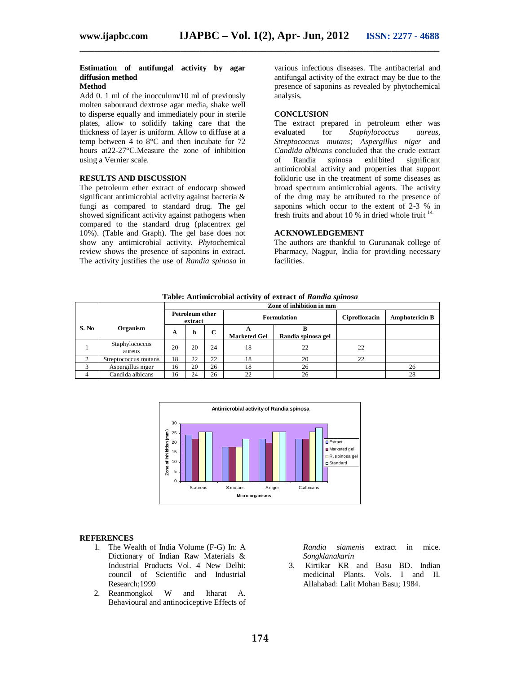### **Estimation of antifungal activity by agar diffusion method**

## **Method**

Add 0. 1 ml of the inocculum/10 ml of previously molten sabouraud dextrose agar media, shake well to disperse equally and immediately pour in sterile plates, allow to solidify taking care that the thickness of layer is uniform. Allow to diffuse at a temp between 4 to 8°C and then incubate for 72 hours at22-27°C.Measure the zone of inhibition using a Vernier scale.

#### **RESULTS AND DISCUSSION**

The petroleum ether extract of endocarp showed significant antimicrobial activity against bacteria & fungi as compared to standard drug. The gel showed significant activity against pathogens when compared to the standard drug (placentrex gel 10%). (Table and Graph). The gel base does not show any antimicrobial activity. *Phyto*chemical review shows the presence of saponins in extract. The activity justifies the use of *Randia spinosa* in various infectious diseases. The antibacterial and antifungal activity of the extract may be due to the presence of saponins as revealed by phytochemical analysis.

#### **CONCLUSION**

The extract prepared in petroleum ether was evaluated for *Staphylococcus aureus, Streptococcus mutans; Aspergillus niger* and *Candida albicans* concluded that the crude extract of Randia spinosa exhibited significant antimicrobial activity and properties that support folkloric use in the treatment of some diseases as broad spectrum antimicrobial agents. The activity of the drug may be attributed to the presence of saponins which occur to the extent of 2-3 % in fresh fruits and about 10 % in dried whole fruit  $14$ .

#### **ACKNOWLEDGEMENT**

The authors are thankful to Gurunanak college of Pharmacy, Nagpur, India for providing necessary facilities.

|                |                          | Zone of inhibition in mm          |    |    |                     |                    |               |                       |
|----------------|--------------------------|-----------------------------------|----|----|---------------------|--------------------|---------------|-----------------------|
|                |                          | <b>Petroleum ether</b><br>extract |    |    | <b>Formulation</b>  |                    | Ciprofloxacin | <b>Amphotericin B</b> |
| S. No          | Organism                 | A                                 | b  | C  | <b>Marketed Gel</b> | Randia spinosa gel |               |                       |
|                | Staphylococcus<br>aureus | 20                                | 20 | 24 | 18                  | 22                 | 22            |                       |
| $\overline{c}$ | Streptococcus mutans     | 18                                | 22 | 22 | 18                  | 20                 | 22            |                       |
| 3              | Aspergillus niger        | 16                                | 20 | 26 | 18                  | 26                 |               | 26                    |
| 4              | Candida albicans         | 16                                | 24 | 26 | 22                  | 26                 |               | 28                    |

**Table: Antimicrobial activity of extract of** *Randia spinosa*

**\_\_\_\_\_\_\_\_\_\_\_\_\_\_\_\_\_\_\_\_\_\_\_\_\_\_\_\_\_\_\_\_\_\_\_\_\_\_\_\_\_\_\_\_\_\_\_\_\_\_\_\_\_\_\_\_\_\_\_\_\_\_\_\_\_\_\_\_\_\_\_\_\_\_\_**



#### **REFERENCES**

- 1. The Wealth of India Volume (F-G) In: A Dictionary of Indian Raw Materials & Industrial Products Vol. 4 New Delhi: council of Scientific and Industrial Research;1999<br>Reanmongkol
- 2. Reanmongkol W and Itharat A. Behavioural and antinociceptive Effects of

*Randia siamenis* extract in mice. *Songklanakarin*

3. Kirtikar KR and Basu BD. Indian<br>medicinal Plants. Vols. I and II. Vols. I and II. Allahabad: Lalit Mohan Basu; 1984.